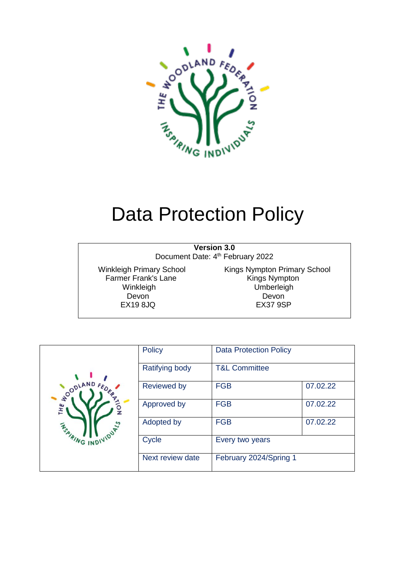

# Data Protection Policy

**Version 3.0**

Document Date: 4<sup>th</sup> February 2022

Farmer Frank's Lane Kings Nympton<br>
Winkleigh Minister Umberleigh  $EX198JQ$ 

Winkleigh Primary School Kings Nympton Primary School Umberleigh Devon Devon

| OODLAND<br>꽃<br>VIDUALS<br><b>ASPIRING IND.</b> | Policy             | <b>Data Protection Policy</b> |          |
|-------------------------------------------------|--------------------|-------------------------------|----------|
|                                                 | Ratifying body     | <b>T&amp;L Committee</b>      |          |
|                                                 | <b>Reviewed by</b> | <b>FGB</b>                    | 07.02.22 |
|                                                 | Approved by        | <b>FGB</b>                    | 07.02.22 |
|                                                 | Adopted by         | <b>FGB</b>                    | 07.02.22 |
|                                                 | Cycle              | Every two years               |          |
|                                                 | Next review date   | February 2024/Spring 1        |          |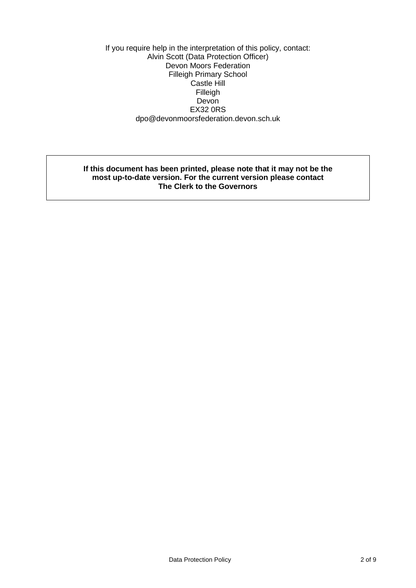If you require help in the interpretation of this policy, contact: Alvin Scott (Data Protection Officer) Devon Moors Federation Filleigh Primary School Castle Hill Filleigh **Devon** EX32 0RS dpo@devonmoorsfederation.devon.sch.uk

#### **If this document has been printed, please note that it may not be the most up-to-date version. For the current version please contact The Clerk to the Governors**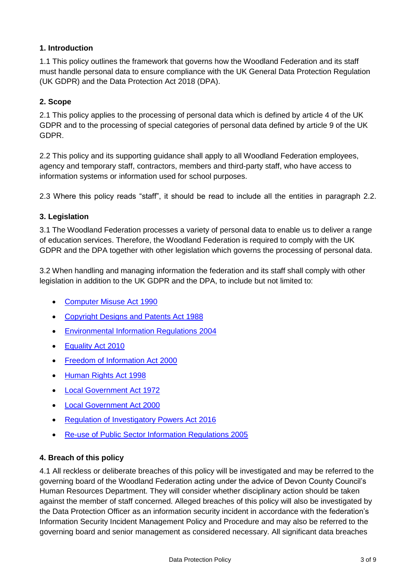## **1. Introduction**

1.1 This policy outlines the framework that governs how the Woodland Federation and its staff must handle personal data to ensure compliance with the UK General Data Protection Regulation (UK GDPR) and the Data Protection Act 2018 (DPA).

#### **2. Scope**

2.1 This policy applies to the processing of personal data which is defined by article 4 of the UK GDPR and to the processing of special categories of personal data defined by article 9 of the UK GDPR.

2.2 This policy and its supporting guidance shall apply to all Woodland Federation employees, agency and temporary staff, contractors, members and third-party staff, who have access to information systems or information used for school purposes.

2.3 Where this policy reads "staff", it should be read to include all the entities in paragraph 2.2.

#### **3. Legislation**

3.1 The Woodland Federation processes a variety of personal data to enable us to deliver a range of education services. Therefore, the Woodland Federation is required to comply with the UK GDPR and the DPA together with other legislation which governs the processing of personal data.

3.2 When handling and managing information the federation and its staff shall comply with other legislation in addition to the UK GDPR and the DPA, to include but not limited to:

- [Computer Misuse Act 1990](http://www.legislation.gov.uk/ukpga/1990/18/contents)
- [Copyright Designs and Patents Act 1988](https://www.legislation.gov.uk/ukpga/1988/48/contents)
- [Environmental Information Regulations 2004](http://www.legislation.gov.uk/ukpga/1988/48/contents)
- [Equality Act 2010](http://www.legislation.gov.uk/ukpga/2010/15/contents)
- [Freedom of Information Act 2000](https://www.legislation.gov.uk/ukpga/2000/36/contents)
- [Human Rights Act 1998](http://www.legislation.gov.uk/ukpga/1998/42/contents)
- [Local Government Act 1972](http://www.legislation.gov.uk/ukpga/1972/70)
- [Local Government Act 2000](https://www.legislation.gov.uk/ukpga/2000/22/contents)
- [Regulation of Investigatory Powers Act 2016](http://www.legislation.gov.uk/ukpga/2016/25/contents/enacted)
- [Re-use of Public Sector Information Regulations 2005](http://www.legislation.gov.uk/uksi/2005/1515/made)

#### **4. Breach of this policy**

4.1 All reckless or deliberate breaches of this policy will be investigated and may be referred to the governing board of the Woodland Federation acting under the advice of Devon County Council's Human Resources Department. They will consider whether disciplinary action should be taken against the member of staff concerned. Alleged breaches of this policy will also be investigated by the Data Protection Officer as an information security incident in accordance with the federation's Information Security Incident Management Policy and Procedure and may also be referred to the governing board and senior management as considered necessary. All significant data breaches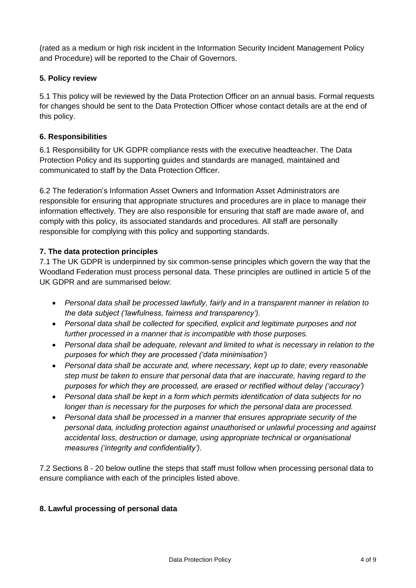(rated as a medium or high risk incident in the Information Security Incident Management Policy and Procedure) will be reported to the Chair of Governors.

#### **5. Policy review**

5.1 This policy will be reviewed by the Data Protection Officer on an annual basis. Formal requests for changes should be sent to the Data Protection Officer whose contact details are at the end of this policy.

#### **6. Responsibilities**

6.1 Responsibility for UK GDPR compliance rests with the executive headteacher. The Data Protection Policy and its supporting guides and standards are managed, maintained and communicated to staff by the Data Protection Officer.

6.2 The federation's Information Asset Owners and Information Asset Administrators are responsible for ensuring that appropriate structures and procedures are in place to manage their information effectively. They are also responsible for ensuring that staff are made aware of, and comply with this policy, its associated standards and procedures. All staff are personally responsible for complying with this policy and supporting standards.

#### **7. The data protection principles**

7.1 The UK GDPR is underpinned by six common-sense principles which govern the way that the Woodland Federation must process personal data. These principles are outlined in article 5 of the UK GDPR and are summarised below:

- *Personal data shall be processed lawfully, fairly and in a transparent manner in relation to the data subject ('lawfulness, fairness and transparency').*
- *Personal data shall be collected for specified, explicit and legitimate purposes and not further processed in a manner that is incompatible with those purposes.*
- *Personal data shall be adequate, relevant and limited to what is necessary in relation to the purposes for which they are processed ('data minimisation')*
- *Personal data shall be accurate and, where necessary, kept up to date; every reasonable step must be taken to ensure that personal data that are inaccurate, having regard to the purposes for which they are processed, are erased or rectified without delay ('accuracy')*
- *Personal data shall be kept in a form which permits identification of data subjects for no longer than is necessary for the purposes for which the personal data are processed.*
- *Personal data shall be processed in a manner that ensures appropriate security of the personal data, including protection against unauthorised or unlawful processing and against accidental loss, destruction or damage, using appropriate technical or organisational measures ('integrity and confidentiality').*

7.2 Sections 8 - 20 below outline the steps that staff must follow when processing personal data to ensure compliance with each of the principles listed above.

#### **8. Lawful processing of personal data**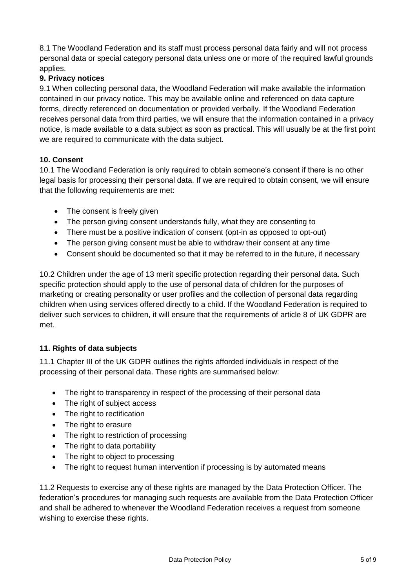8.1 The Woodland Federation and its staff must process personal data fairly and will not process personal data or special category personal data unless one or more of the required lawful grounds applies.

## **9. Privacy notices**

9.1 When collecting personal data, the Woodland Federation will make available the information contained in our privacy notice. This may be available online and referenced on data capture forms, directly referenced on documentation or provided verbally. If the Woodland Federation receives personal data from third parties, we will ensure that the information contained in a privacy notice, is made available to a data subject as soon as practical. This will usually be at the first point we are required to communicate with the data subject.

## **10. Consent**

10.1 The Woodland Federation is only required to obtain someone's consent if there is no other legal basis for processing their personal data. If we are required to obtain consent, we will ensure that the following requirements are met:

- The consent is freely given
- The person giving consent understands fully, what they are consenting to
- There must be a positive indication of consent (opt-in as opposed to opt-out)
- The person giving consent must be able to withdraw their consent at any time
- Consent should be documented so that it may be referred to in the future, if necessary

10.2 Children under the age of 13 merit specific protection regarding their personal data. Such specific protection should apply to the use of personal data of children for the purposes of marketing or creating personality or user profiles and the collection of personal data regarding children when using services offered directly to a child. If the Woodland Federation is required to deliver such services to children, it will ensure that the requirements of article 8 of UK GDPR are met.

## **11. Rights of data subjects**

11.1 Chapter III of the UK GDPR outlines the rights afforded individuals in respect of the processing of their personal data. These rights are summarised below:

- The right to transparency in respect of the processing of their personal data
- The right of subject access
- The right to rectification
- The right to erasure
- The right to restriction of processing
- The right to data portability
- The right to object to processing
- The right to request human intervention if processing is by automated means

11.2 Requests to exercise any of these rights are managed by the Data Protection Officer. The federation's procedures for managing such requests are available from the Data Protection Officer and shall be adhered to whenever the Woodland Federation receives a request from someone wishing to exercise these rights.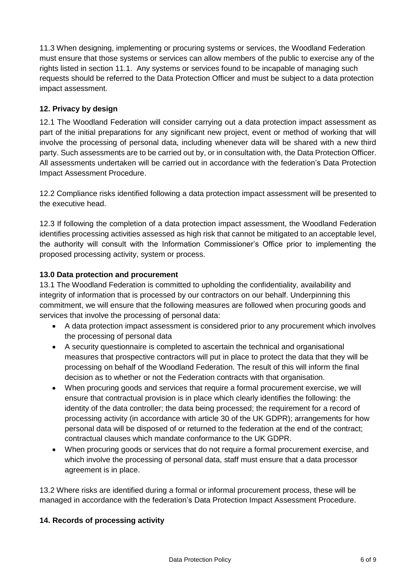11.3 When designing, implementing or procuring systems or services, the Woodland Federation must ensure that those systems or services can allow members of the public to exercise any of the rights listed in section 11.1. Any systems or services found to be incapable of managing such requests should be referred to the Data Protection Officer and must be subject to a data protection impact assessment.

## **12. Privacy by design**

12.1 The Woodland Federation will consider carrying out a data protection impact assessment as part of the initial preparations for any significant new project, event or method of working that will involve the processing of personal data, including whenever data will be shared with a new third party. Such assessments are to be carried out by, or in consultation with, the Data Protection Officer. All assessments undertaken will be carried out in accordance with the federation's Data Protection Impact Assessment Procedure.

12.2 Compliance risks identified following a data protection impact assessment will be presented to the executive head.

12.3 If following the completion of a data protection [impact assessment,](https://inside.devon.gov.uk/task/gdpr/privacy-by-design/) the Woodland Federation identifies processing activities assessed as high risk that cannot be mitigated to an acceptable level, the authority will consult with the Information Commissioner's Office prior to implementing the proposed processing activity, system or process.

## **13.0 Data protection and procurement**

13.1 The Woodland Federation is committed to upholding the confidentiality, availability and integrity of information that is processed by our contractors on our behalf. Underpinning this commitment, we will ensure that the following measures are followed when procuring goods and services that involve the processing of personal data:

- A data protection [impact assessment](https://inside.devon.gov.uk/task/gdpr/privacy-by-design/) is considered prior to any procurement which involves the processing of personal data
- A security questionnaire is completed to ascertain the technical and organisational measures that prospective contractors will put in place to protect the data that they will be processing on behalf of the Woodland Federation. The result of this will inform the final decision as to whether or not the Federation contracts with that organisation.
- When procuring goods and services that require a formal procurement exercise, we will ensure that contractual provision is in place which clearly identifies the following: the identity of the data controller; the data being processed; the requirement for a record of processing activity (in accordance with article 30 of the UK GDPR); arrangements for how personal data will be disposed of or returned to the federation at the end of the contract; contractual clauses which mandate conformance to the UK GDPR.
- When procuring goods or services that do not require a formal procurement exercise, and which involve the processing of personal data, staff must ensure that a data processor agreement is in place.

13.2 Where risks are identified during a formal or informal procurement process, these will be managed in accordance with the federation's Data Protection Impact Assessment Procedure.

## **14. Records of processing activity**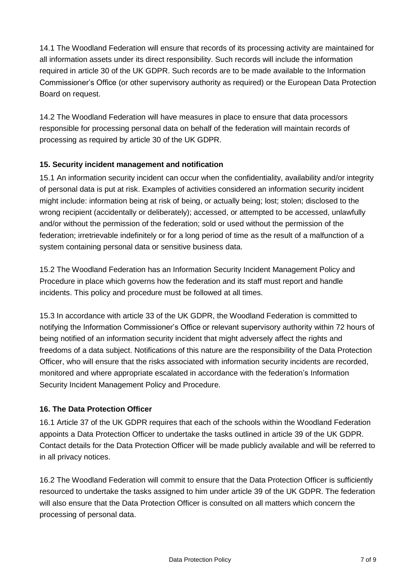14.1 The Woodland Federation will ensure that records of its processing activity are maintained for all information assets under its direct responsibility. Such records will include the information required in article 30 of the UK GDPR. Such records are to be made available to the Information Commissioner's Office (or other supervisory authority as required) or the European Data Protection Board on request.

14.2 The Woodland Federation will have measures in place to ensure that data processors responsible for processing personal data on behalf of the federation will maintain records of processing as required by article 30 of the UK GDPR.

## **15. Security incident management and notification**

15.1 An information security incident can occur when the confidentiality, availability and/or integrity of personal data is put at risk. Examples of activities considered an information security incident might include: information being at risk of being, or actually being; lost; stolen; disclosed to the wrong recipient (accidentally or deliberately); accessed, or attempted to be accessed, unlawfully and/or without the permission of the federation; sold or used without the permission of the federation; irretrievable indefinitely or for a long period of time as the result of a malfunction of a system containing personal data or sensitive business data.

15.2 The Woodland Federation has an Information Security Incident Management Policy and Procedure in place which governs how the federation and its staff must report and handle incidents. This policy and procedure must be followed at all times.

15.3 In accordance with article 33 of the UK GDPR, the Woodland Federation is committed to notifying the Information Commissioner's Office or relevant supervisory authority within 72 hours of being notified of an information security incident that might adversely affect the rights and freedoms of a data subject. Notifications of this nature are the responsibility of the Data Protection Officer, who will ensure that the risks associated with information security incidents are recorded, monitored and where appropriate escalated in accordance with the federation's Information Security Incident Management Policy and Procedure.

## **16. The Data Protection Officer**

16.1 Article 37 of the UK GDPR requires that each of the schools within the Woodland Federation appoints a Data Protection Officer to undertake the tasks outlined in article 39 of the UK GDPR. Contact details for the Data Protection Officer will be made publicly available and will be referred to in all privacy notices.

16.2 The Woodland Federation will commit to ensure that the Data Protection Officer is sufficiently resourced to undertake the tasks assigned to him under article 39 of the UK GDPR. The federation will also ensure that the Data Protection Officer is consulted on all matters which concern the processing of personal data.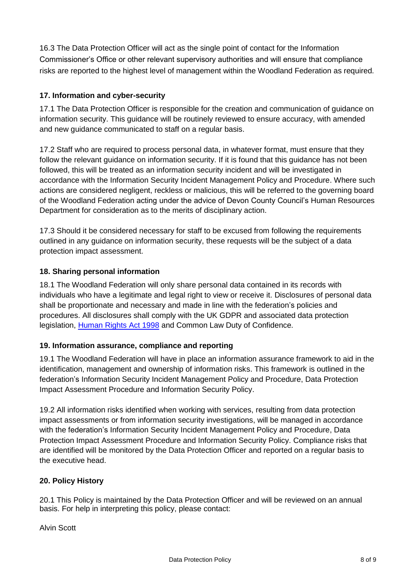16.3 The Data Protection Officer will act as the single point of contact for the Information Commissioner's Office or other relevant supervisory authorities and will ensure that compliance risks are reported to the highest level of management within the Woodland Federation as required.

## **17. Information and cyber-security**

17.1 The Data Protection Officer is responsible for the creation and communication of guidance on information security. This guidance will be routinely reviewed to ensure accuracy, with amended and new guidance communicated to staff on a regular basis.

17.2 Staff who are required to process personal data, in whatever format, must ensure that they follow the relevant guidance on information security. If it is found that this guidance has not been followed, this will be treated as an information security incident and will be investigated in accordance with the Information Security Incident Management Policy and Procedure. Where such actions are considered negligent, reckless or malicious, this will be referred to the governing board of the Woodland Federation acting under the advice of Devon County Council's Human Resources Department for consideration as to the merits of disciplinary action.

17.3 Should it be considered necessary for staff to be excused from following the requirements outlined in any guidance on information security, these requests will be the subject of a data protection impact assessment.

## **18. Sharing personal information**

18.1 The Woodland Federation will only share personal data contained in its records with individuals who have a legitimate and legal right to view or receive it. Disclosures of personal data shall be proportionate and necessary and made in line with the federation's policies and procedures. All disclosures shall comply with the UK GDPR and associated data protection legislation, [Human Rights Act 1998](http://www.legislation.gov.uk/ukpga/1998/42/contents) and Common Law Duty of Confidence.

## **19. Information assurance, compliance and reporting**

19.1 The Woodland Federation will have in place an information assurance framework to aid in the identification, management and ownership of information risks. This framework is outlined in the federation's Information Security Incident Management Policy and Procedure, Data Protection Impact Assessment Procedure and Information Security Policy.

19.2 All information risks identified when working with services, resulting from data protection impact assessments or from information security investigations, will be managed in accordance with the federation's Information Security Incident Management Policy and Procedure, Data Protection Impact Assessment Procedure and Information Security Policy. Compliance risks that are identified will be monitored by the Data Protection Officer and reported on a regular basis to the executive head.

## **20. Policy History**

20.1 This Policy is maintained by the Data Protection Officer and will be reviewed on an annual basis. For help in interpreting this policy, please contact:

Alvin Scott